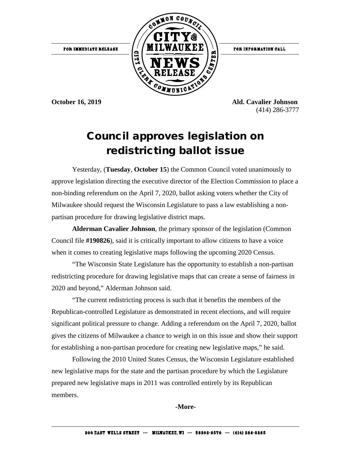

**October 16, 2019 Ald. Cavalier Johnson** (414) 286-3777

## Council approves legislation on redistricting ballot issue

Yesterday, (**Tuesday**, **October 15**) the Common Council voted unanimously to approve legislation directing the executive director of the Election Commission to place a non-binding referendum on the April 7, 2020, ballot asking voters whether the City of Milwaukee should request the Wisconsin Legislature to pass a law establishing a nonpartisan procedure for drawing legislative district maps.

**Alderman Cavalier Johnson**, the primary sponsor of the legislation (Common Council file **#190826**), said it is critically important to allow citizens to have a voice when it comes to creating legislative maps following the upcoming 2020 Census.

"The Wisconsin State Legislature has the opportunity to establish a non-partisan redistricting procedure for drawing legislative maps that can create a sense of fairness in 2020 and beyond," Alderman Johnson said.

"The current redistricting process is such that it benefits the members of the Republican-controlled Legislature as demonstrated in recent elections, and will require significant political pressure to change. Adding a referendum on the April 7, 2020, ballot gives the citizens of Milwaukee a chance to weigh in on this issue and show their support for establishing a non-partisan procedure for creating new legislative maps," he said.

Following the 2010 United States Census, the Wisconsin Legislature established new legislative maps for the state and the partisan procedure by which the Legislature prepared new legislative maps in 2011 was controlled entirely by its Republican members.

**-More-**